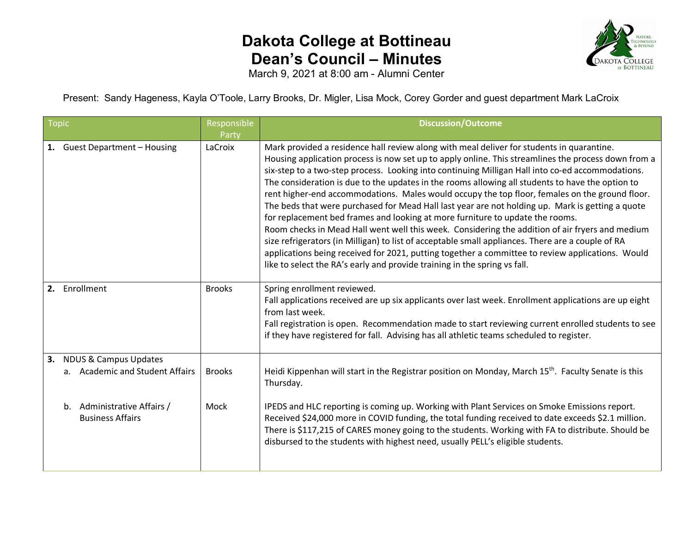## **Dakota College at Bottineau Dean's Council – Minutes**



March 9, 2021 at 8:00 am - Alumni Center

Present: Sandy Hageness, Kayla O'Toole, Larry Brooks, Dr. Migler, Lisa Mock, Corey Gorder and guest department Mark LaCroix

| <b>Topic</b> |                                                                     | Responsible<br>Party | <b>Discussion/Outcome</b>                                                                                                                                                                                                                                                                                                                                                                                                                                                                                                                                                                                                                                                                                                                                                                                                                                                                                                                                                                                                                                                                |
|--------------|---------------------------------------------------------------------|----------------------|------------------------------------------------------------------------------------------------------------------------------------------------------------------------------------------------------------------------------------------------------------------------------------------------------------------------------------------------------------------------------------------------------------------------------------------------------------------------------------------------------------------------------------------------------------------------------------------------------------------------------------------------------------------------------------------------------------------------------------------------------------------------------------------------------------------------------------------------------------------------------------------------------------------------------------------------------------------------------------------------------------------------------------------------------------------------------------------|
|              | 1. Guest Department - Housing                                       | LaCroix              | Mark provided a residence hall review along with meal deliver for students in quarantine.<br>Housing application process is now set up to apply online. This streamlines the process down from a<br>six-step to a two-step process. Looking into continuing Milligan Hall into co-ed accommodations.<br>The consideration is due to the updates in the rooms allowing all students to have the option to<br>rent higher-end accommodations. Males would occupy the top floor, females on the ground floor.<br>The beds that were purchased for Mead Hall last year are not holding up. Mark is getting a quote<br>for replacement bed frames and looking at more furniture to update the rooms.<br>Room checks in Mead Hall went well this week. Considering the addition of air fryers and medium<br>size refrigerators (in Milligan) to list of acceptable small appliances. There are a couple of RA<br>applications being received for 2021, putting together a committee to review applications. Would<br>like to select the RA's early and provide training in the spring vs fall. |
|              | 2. Enrollment                                                       | <b>Brooks</b>        | Spring enrollment reviewed.<br>Fall applications received are up six applicants over last week. Enrollment applications are up eight<br>from last week.<br>Fall registration is open. Recommendation made to start reviewing current enrolled students to see<br>if they have registered for fall. Advising has all athletic teams scheduled to register.                                                                                                                                                                                                                                                                                                                                                                                                                                                                                                                                                                                                                                                                                                                                |
| 3.           | <b>NDUS &amp; Campus Updates</b><br>a. Academic and Student Affairs | <b>Brooks</b>        | Heidi Kippenhan will start in the Registrar position on Monday, March 15 <sup>th</sup> . Faculty Senate is this<br>Thursday.                                                                                                                                                                                                                                                                                                                                                                                                                                                                                                                                                                                                                                                                                                                                                                                                                                                                                                                                                             |
|              | Administrative Affairs /<br>$b_{-}$<br><b>Business Affairs</b>      | Mock                 | IPEDS and HLC reporting is coming up. Working with Plant Services on Smoke Emissions report.<br>Received \$24,000 more in COVID funding, the total funding received to date exceeds \$2.1 million.<br>There is \$117,215 of CARES money going to the students. Working with FA to distribute. Should be<br>disbursed to the students with highest need, usually PELL's eligible students.                                                                                                                                                                                                                                                                                                                                                                                                                                                                                                                                                                                                                                                                                                |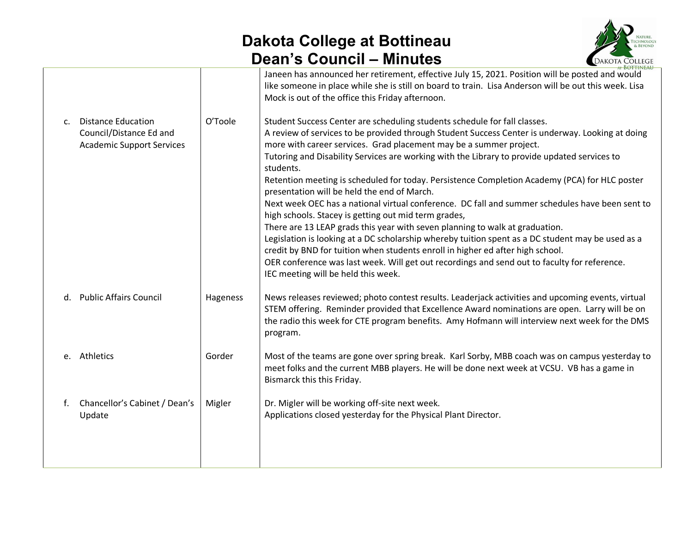## **Dakota College at Bottineau Dean's Council – Minutes**



|                |                                                                                          |          | Janeen has announced her retirement, effective July 15, 2021. Position will be posted and would<br>like someone in place while she is still on board to train. Lisa Anderson will be out this week. Lisa<br>Mock is out of the office this Friday afternoon.                                                                                                                            |
|----------------|------------------------------------------------------------------------------------------|----------|-----------------------------------------------------------------------------------------------------------------------------------------------------------------------------------------------------------------------------------------------------------------------------------------------------------------------------------------------------------------------------------------|
| $\mathsf{C}$ . | <b>Distance Education</b><br>Council/Distance Ed and<br><b>Academic Support Services</b> | O'Toole  | Student Success Center are scheduling students schedule for fall classes.<br>A review of services to be provided through Student Success Center is underway. Looking at doing<br>more with career services. Grad placement may be a summer project.<br>Tutoring and Disability Services are working with the Library to provide updated services to<br>students.                        |
|                |                                                                                          |          | Retention meeting is scheduled for today. Persistence Completion Academy (PCA) for HLC poster<br>presentation will be held the end of March.<br>Next week OEC has a national virtual conference. DC fall and summer schedules have been sent to<br>high schools. Stacey is getting out mid term grades,<br>There are 13 LEAP grads this year with seven planning to walk at graduation. |
|                |                                                                                          |          | Legislation is looking at a DC scholarship whereby tuition spent as a DC student may be used as a<br>credit by BND for tuition when students enroll in higher ed after high school.<br>OER conference was last week. Will get out recordings and send out to faculty for reference.<br>IEC meeting will be held this week.                                                              |
| d.             | <b>Public Affairs Council</b>                                                            | Hageness | News releases reviewed; photo contest results. Leaderjack activities and upcoming events, virtual<br>STEM offering. Reminder provided that Excellence Award nominations are open. Larry will be on<br>the radio this week for CTE program benefits. Amy Hofmann will interview next week for the DMS<br>program.                                                                        |
|                | e. Athletics                                                                             | Gorder   | Most of the teams are gone over spring break. Karl Sorby, MBB coach was on campus yesterday to<br>meet folks and the current MBB players. He will be done next week at VCSU. VB has a game in<br>Bismarck this this Friday.                                                                                                                                                             |
| f.             | Chancellor's Cabinet / Dean's<br>Update                                                  | Migler   | Dr. Migler will be working off-site next week.<br>Applications closed yesterday for the Physical Plant Director.                                                                                                                                                                                                                                                                        |
|                |                                                                                          |          |                                                                                                                                                                                                                                                                                                                                                                                         |